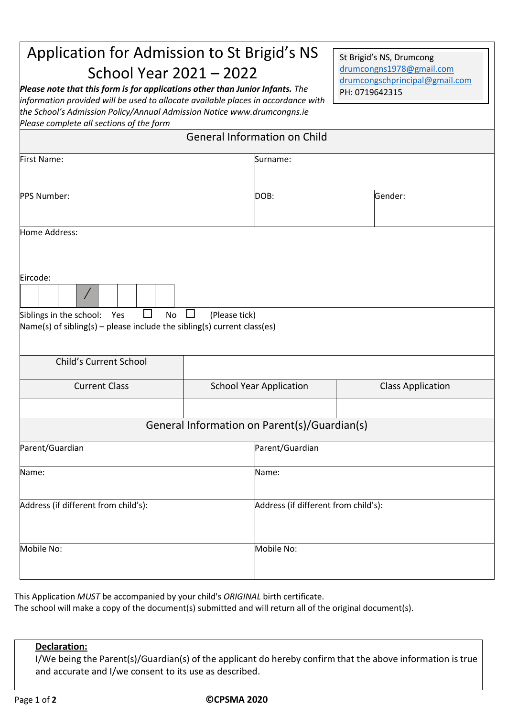## Application for Admission to St Brigid's NS School Year 2021 – 2022

*Please note that this form is for applications other than Junior Infants. The information provided will be used to allocate available places in accordance with the School's Admission Policy/Annual Admission Notice www.drumcongns.ie Please complete all sections of the form*

St Brigid's NS, Drumcong [drumcongns1978@gmail.com](mailto:drumcongns1978@gmail.com) [drumcongschprincipal@gmail.com](mailto:drumcongschprincipal@gmail.com) PH: 0719642315

| <b>General Information on Child</b> |  |
|-------------------------------------|--|
|-------------------------------------|--|

| First Name:                                                                                                                   |                         | Surname:                                     |                          |  |  |
|-------------------------------------------------------------------------------------------------------------------------------|-------------------------|----------------------------------------------|--------------------------|--|--|
| PPS Number:                                                                                                                   |                         | DOB:                                         | Gender:                  |  |  |
| Home Address:                                                                                                                 |                         |                                              |                          |  |  |
| Eircode:<br>Siblings in the school: Yes<br>□<br>No<br>Name(s) of sibling(s) - please include the sibling(s) current class(es) | (Please tick)<br>$\Box$ |                                              |                          |  |  |
| Child's Current School                                                                                                        |                         |                                              |                          |  |  |
| <b>Current Class</b>                                                                                                          |                         | <b>School Year Application</b>               | <b>Class Application</b> |  |  |
|                                                                                                                               |                         | General Information on Parent(s)/Guardian(s) |                          |  |  |
| Parent/Guardian                                                                                                               |                         | Parent/Guardian                              |                          |  |  |
| Name:                                                                                                                         |                         | Name:                                        |                          |  |  |
| Address (if different from child's):                                                                                          |                         | Address (if different from child's):         |                          |  |  |
| Mobile No:                                                                                                                    |                         | Mobile No:                                   |                          |  |  |

This Application *MUST* be accompanied by your child's *ORIGINAL* birth certificate.

The school will make a copy of the document(s) submitted and will return all of the original document(s).

## **Declaration:**

I/We being the Parent(s)/Guardian(s) of the applicant do hereby confirm that the above information is true and accurate and I/we consent to its use as described.